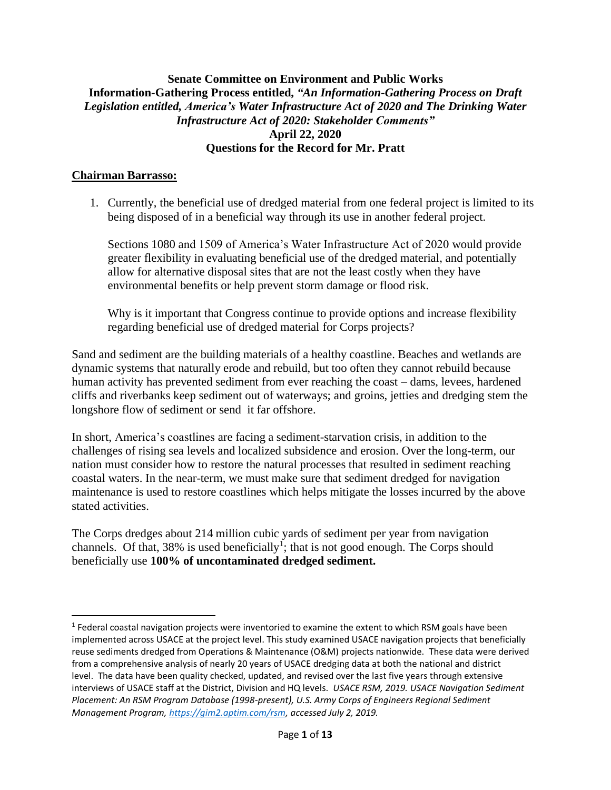## **Senate Committee on Environment and Public Works Information-Gathering Process entitled,** *"An Information-Gathering Process on Draft Legislation entitled, America's Water Infrastructure Act of 2020 and The Drinking Water Infrastructure Act of 2020: Stakeholder Comments"* **April 22, 2020 Questions for the Record for Mr. Pratt**

## **Chairman Barrasso:**

1. Currently, the beneficial use of dredged material from one federal project is limited to its being disposed of in a beneficial way through its use in another federal project.

Sections 1080 and 1509 of America's Water Infrastructure Act of 2020 would provide greater flexibility in evaluating beneficial use of the dredged material, and potentially allow for alternative disposal sites that are not the least costly when they have environmental benefits or help prevent storm damage or flood risk.

Why is it important that Congress continue to provide options and increase flexibility regarding beneficial use of dredged material for Corps projects?

Sand and sediment are the building materials of a healthy coastline. Beaches and wetlands are dynamic systems that naturally erode and rebuild, but too often they cannot rebuild because human activity has prevented sediment from ever reaching the coast – dams, levees, hardened cliffs and riverbanks keep sediment out of waterways; and groins, jetties and dredging stem the longshore flow of sediment or send it far offshore.

In short, America's coastlines are facing a sediment-starvation crisis, in addition to the challenges of rising sea levels and localized subsidence and erosion. Over the long-term, our nation must consider how to restore the natural processes that resulted in sediment reaching coastal waters. In the near-term, we must make sure that sediment dredged for navigation maintenance is used to restore coastlines which helps mitigate the losses incurred by the above stated activities.

The Corps dredges about 214 million cubic yards of sediment per year from navigation channels. Of that, 38% is used beneficially<sup>1</sup>; that is not good enough. The Corps should beneficially use **100% of uncontaminated dredged sediment.**

 $<sup>1</sup>$  Federal coastal navigation projects were inventoried to examine the extent to which RSM goals have been</sup> implemented across USACE at the project level. This study examined USACE navigation projects that beneficially reuse sediments dredged from Operations & Maintenance (O&M) projects nationwide. These data were derived from a comprehensive analysis of nearly 20 years of USACE dredging data at both the national and district level. The data have been quality checked, updated, and revised over the last five years through extensive interviews of USACE staff at the District, Division and HQ levels. *USACE RSM, 2019. USACE Navigation Sediment Placement: An RSM Program Database (1998-present), U.S. Army Corps of Engineers Regional Sediment Management Program[, https://gim2.aptim.com/rsm,](https://gim2.aptim.com/rsm) accessed July 2, 2019.*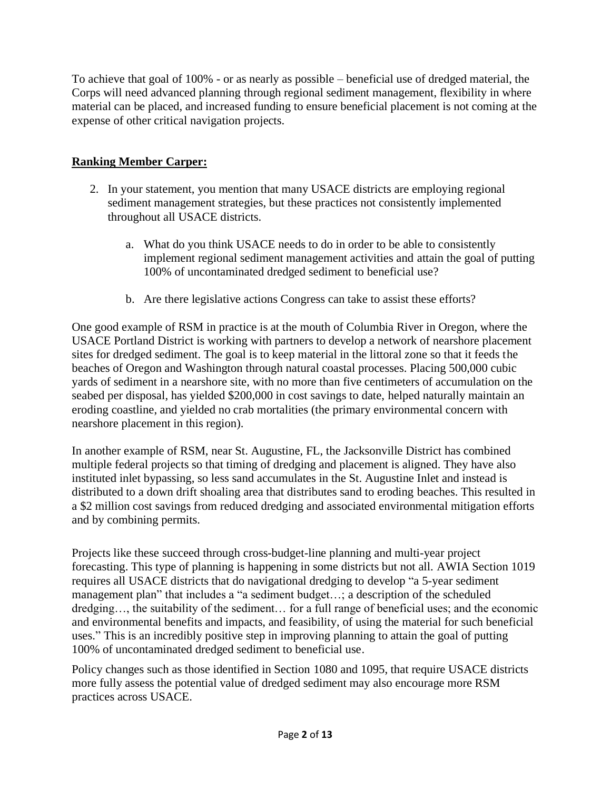To achieve that goal of 100% - or as nearly as possible – beneficial use of dredged material, the Corps will need advanced planning through regional sediment management, flexibility in where material can be placed, and increased funding to ensure beneficial placement is not coming at the expense of other critical navigation projects.

## **Ranking Member Carper:**

- 2. In your statement, you mention that many USACE districts are employing regional sediment management strategies, but these practices not consistently implemented throughout all USACE districts.
	- a. What do you think USACE needs to do in order to be able to consistently implement regional sediment management activities and attain the goal of putting 100% of uncontaminated dredged sediment to beneficial use?
	- b. Are there legislative actions Congress can take to assist these efforts?

One good example of RSM in practice is at the mouth of Columbia River in Oregon, where the USACE Portland District is working with partners to develop a network of nearshore placement sites for dredged sediment. The goal is to keep material in the littoral zone so that it feeds the beaches of Oregon and Washington through natural coastal processes. Placing 500,000 cubic yards of sediment in a nearshore site, with no more than five centimeters of accumulation on the seabed per disposal, has yielded \$200,000 in cost savings to date, helped naturally maintain an eroding coastline, and yielded no crab mortalities (the primary environmental concern with nearshore placement in this region).

In another example of RSM, near St. Augustine, FL, the Jacksonville District has combined multiple federal projects so that timing of dredging and placement is aligned. They have also instituted inlet bypassing, so less sand accumulates in the St. Augustine Inlet and instead is distributed to a down drift shoaling area that distributes sand to eroding beaches. This resulted in a \$2 million cost savings from reduced dredging and associated environmental mitigation efforts and by combining permits.

Projects like these succeed through cross-budget-line planning and multi-year project forecasting. This type of planning is happening in some districts but not all. AWIA Section 1019 requires all USACE districts that do navigational dredging to develop "a 5-year sediment management plan" that includes a "a sediment budget…; a description of the scheduled dredging…, the suitability of the sediment… for a full range of beneficial uses; and the economic and environmental benefits and impacts, and feasibility, of using the material for such beneficial uses." This is an incredibly positive step in improving planning to attain the goal of putting 100% of uncontaminated dredged sediment to beneficial use.

Policy changes such as those identified in Section 1080 and 1095, that require USACE districts more fully assess the potential value of dredged sediment may also encourage more RSM practices across USACE.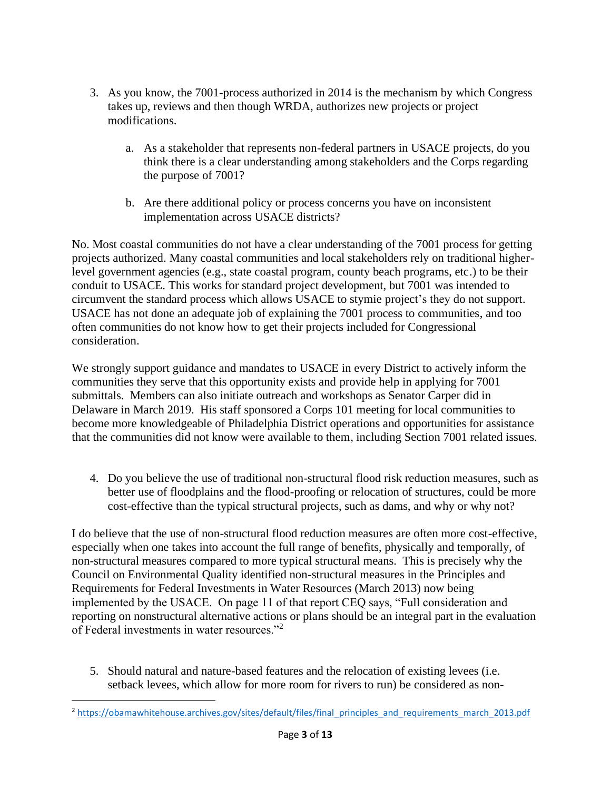- 3. As you know, the 7001-process authorized in 2014 is the mechanism by which Congress takes up, reviews and then though WRDA, authorizes new projects or project modifications.
	- a. As a stakeholder that represents non-federal partners in USACE projects, do you think there is a clear understanding among stakeholders and the Corps regarding the purpose of 7001?
	- b. Are there additional policy or process concerns you have on inconsistent implementation across USACE districts?

No. Most coastal communities do not have a clear understanding of the 7001 process for getting projects authorized. Many coastal communities and local stakeholders rely on traditional higherlevel government agencies (e.g., state coastal program, county beach programs, etc.) to be their conduit to USACE. This works for standard project development, but 7001 was intended to circumvent the standard process which allows USACE to stymie project's they do not support. USACE has not done an adequate job of explaining the 7001 process to communities, and too often communities do not know how to get their projects included for Congressional consideration.

We strongly support guidance and mandates to USACE in every District to actively inform the communities they serve that this opportunity exists and provide help in applying for 7001 submittals. Members can also initiate outreach and workshops as Senator Carper did in Delaware in March 2019. His staff sponsored a Corps 101 meeting for local communities to become more knowledgeable of Philadelphia District operations and opportunities for assistance that the communities did not know were available to them, including Section 7001 related issues.

4. Do you believe the use of traditional non-structural flood risk reduction measures, such as better use of floodplains and the flood-proofing or relocation of structures, could be more cost-effective than the typical structural projects, such as dams, and why or why not?

I do believe that the use of non-structural flood reduction measures are often more cost-effective, especially when one takes into account the full range of benefits, physically and temporally, of non-structural measures compared to more typical structural means. This is precisely why the Council on Environmental Quality identified non-structural measures in the Principles and Requirements for Federal Investments in Water Resources (March 2013) now being implemented by the USACE. On page 11 of that report CEQ says, "Full consideration and reporting on nonstructural alternative actions or plans should be an integral part in the evaluation of Federal investments in water resources."<sup>2</sup>

5. Should natural and nature-based features and the relocation of existing levees (i.e. setback levees, which allow for more room for rivers to run) be considered as non-

<sup>&</sup>lt;sup>2</sup> [https://obamawhitehouse.archives.gov/sites/default/files/final\\_principles\\_and\\_requirements\\_march\\_2013.pdf](https://obamawhitehouse.archives.gov/sites/default/files/final_principles_and_requirements_march_2013.pdf)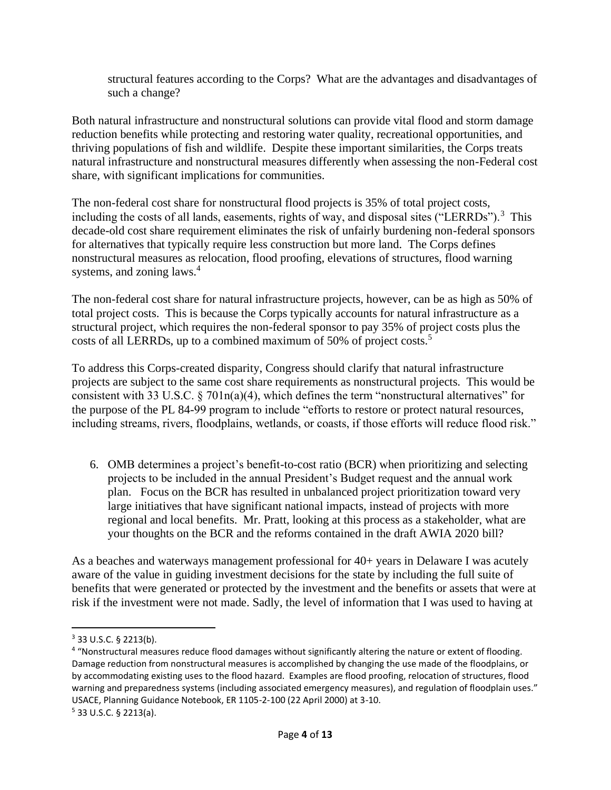structural features according to the Corps? What are the advantages and disadvantages of such a change?

Both natural infrastructure and nonstructural solutions can provide vital flood and storm damage reduction benefits while protecting and restoring water quality, recreational opportunities, and thriving populations of fish and wildlife. Despite these important similarities, the Corps treats natural infrastructure and nonstructural measures differently when assessing the non-Federal cost share, with significant implications for communities.

The non-federal cost share for nonstructural flood projects is 35% of total project costs, including the costs of all lands, easements, rights of way, and disposal sites ("LERRDs").<sup>3</sup> This decade-old cost share requirement eliminates the risk of unfairly burdening non-federal sponsors for alternatives that typically require less construction but more land. The Corps defines nonstructural measures as relocation, flood proofing, elevations of structures, flood warning systems, and zoning laws.<sup>4</sup>

The non-federal cost share for natural infrastructure projects, however, can be as high as 50% of total project costs. This is because the Corps typically accounts for natural infrastructure as a structural project, which requires the non-federal sponsor to pay 35% of project costs plus the costs of all LERRDs, up to a combined maximum of 50% of project costs.<sup>5</sup>

To address this Corps-created disparity, Congress should clarify that natural infrastructure projects are subject to the same cost share requirements as nonstructural projects. This would be consistent with 33 U.S.C.  $\S 701n(a)(4)$ , which defines the term "nonstructural alternatives" for the purpose of the PL 84-99 program to include "efforts to restore or protect natural resources, including streams, rivers, floodplains, wetlands, or coasts, if those efforts will reduce flood risk."

6. OMB determines a project's benefit-to-cost ratio (BCR) when prioritizing and selecting projects to be included in the annual President's Budget request and the annual work plan. Focus on the BCR has resulted in unbalanced project prioritization toward very large initiatives that have significant national impacts, instead of projects with more regional and local benefits. Mr. Pratt, looking at this process as a stakeholder, what are your thoughts on the BCR and the reforms contained in the draft AWIA 2020 bill?

As a beaches and waterways management professional for 40+ years in Delaware I was acutely aware of the value in guiding investment decisions for the state by including the full suite of benefits that were generated or protected by the investment and the benefits or assets that were at risk if the investment were not made. Sadly, the level of information that I was used to having at

<sup>3</sup> 33 U.S.C. § 2213(b).

<sup>&</sup>lt;sup>4</sup> "Nonstructural measures reduce flood damages without significantly altering the nature or extent of flooding. Damage reduction from nonstructural measures is accomplished by changing the use made of the floodplains, or by accommodating existing uses to the flood hazard. Examples are flood proofing, relocation of structures, flood warning and preparedness systems (including associated emergency measures), and regulation of floodplain uses." USACE, Planning Guidance Notebook, ER 1105-2-100 (22 April 2000) at 3-10.  $5$  33 U.S.C. § 2213(a).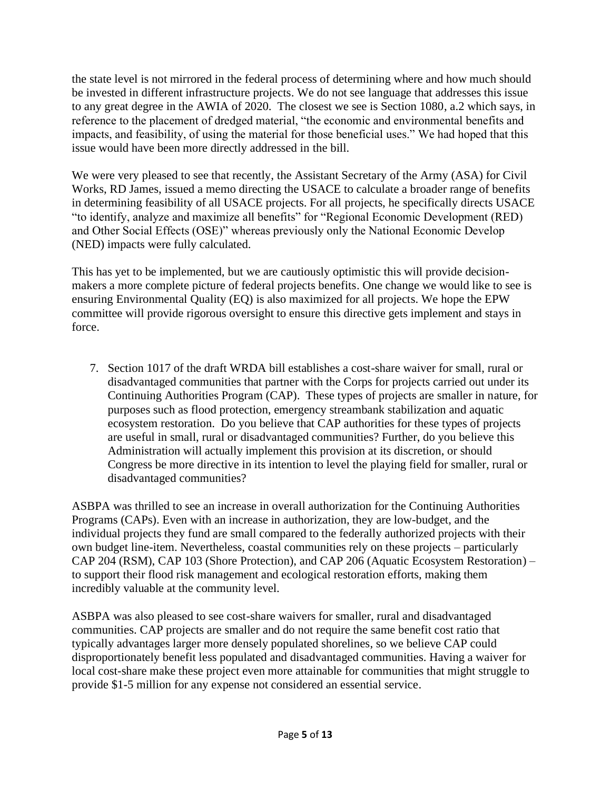the state level is not mirrored in the federal process of determining where and how much should be invested in different infrastructure projects. We do not see language that addresses this issue to any great degree in the AWIA of 2020. The closest we see is Section 1080, a.2 which says, in reference to the placement of dredged material, "the economic and environmental benefits and impacts, and feasibility, of using the material for those beneficial uses." We had hoped that this issue would have been more directly addressed in the bill.

We were very pleased to see that recently, the Assistant Secretary of the Army (ASA) for Civil Works, RD James, issued a memo directing the USACE to calculate a broader range of benefits in determining feasibility of all USACE projects. For all projects, he specifically directs USACE "to identify, analyze and maximize all benefits" for "Regional Economic Development (RED) and Other Social Effects (OSE)" whereas previously only the National Economic Develop (NED) impacts were fully calculated.

This has yet to be implemented, but we are cautiously optimistic this will provide decisionmakers a more complete picture of federal projects benefits. One change we would like to see is ensuring Environmental Quality (EQ) is also maximized for all projects. We hope the EPW committee will provide rigorous oversight to ensure this directive gets implement and stays in force.

7. Section 1017 of the draft WRDA bill establishes a cost-share waiver for small, rural or disadvantaged communities that partner with the Corps for projects carried out under its Continuing Authorities Program (CAP). These types of projects are smaller in nature, for purposes such as flood protection, emergency streambank stabilization and aquatic ecosystem restoration. Do you believe that CAP authorities for these types of projects are useful in small, rural or disadvantaged communities? Further, do you believe this Administration will actually implement this provision at its discretion, or should Congress be more directive in its intention to level the playing field for smaller, rural or disadvantaged communities?

ASBPA was thrilled to see an increase in overall authorization for the Continuing Authorities Programs (CAPs). Even with an increase in authorization, they are low-budget, and the individual projects they fund are small compared to the federally authorized projects with their own budget line-item. Nevertheless, coastal communities rely on these projects – particularly CAP 204 (RSM), CAP 103 (Shore Protection), and CAP 206 (Aquatic Ecosystem Restoration) – to support their flood risk management and ecological restoration efforts, making them incredibly valuable at the community level.

ASBPA was also pleased to see cost-share waivers for smaller, rural and disadvantaged communities. CAP projects are smaller and do not require the same benefit cost ratio that typically advantages larger more densely populated shorelines, so we believe CAP could disproportionately benefit less populated and disadvantaged communities. Having a waiver for local cost-share make these project even more attainable for communities that might struggle to provide \$1-5 million for any expense not considered an essential service.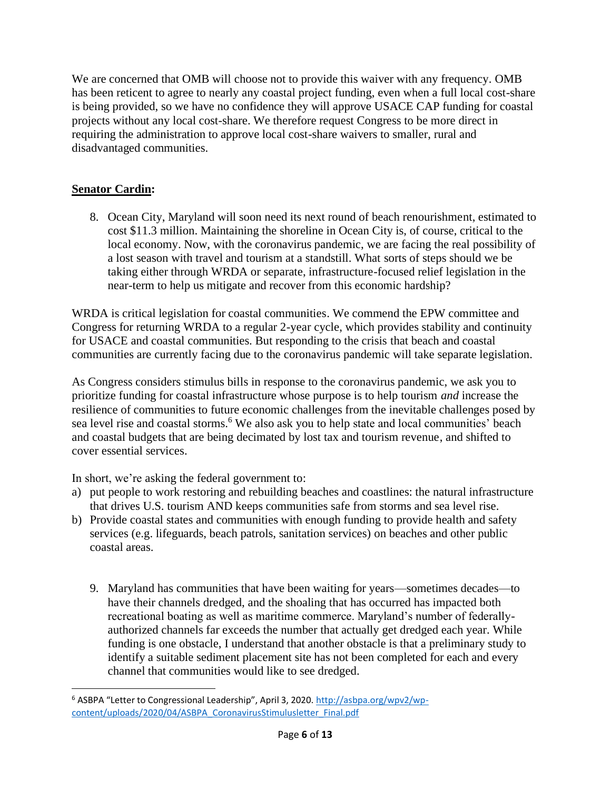We are concerned that OMB will choose not to provide this waiver with any frequency. OMB has been reticent to agree to nearly any coastal project funding, even when a full local cost-share is being provided, so we have no confidence they will approve USACE CAP funding for coastal projects without any local cost-share. We therefore request Congress to be more direct in requiring the administration to approve local cost-share waivers to smaller, rural and disadvantaged communities.

## **Senator Cardin:**

8. Ocean City, Maryland will soon need its next round of beach renourishment, estimated to cost \$11.3 million. Maintaining the shoreline in Ocean City is, of course, critical to the local economy. Now, with the coronavirus pandemic, we are facing the real possibility of a lost season with travel and tourism at a standstill. What sorts of steps should we be taking either through WRDA or separate, infrastructure-focused relief legislation in the near-term to help us mitigate and recover from this economic hardship?

WRDA is critical legislation for coastal communities. We commend the EPW committee and Congress for returning WRDA to a regular 2-year cycle, which provides stability and continuity for USACE and coastal communities. But responding to the crisis that beach and coastal communities are currently facing due to the coronavirus pandemic will take separate legislation.

As Congress considers stimulus bills in response to the coronavirus pandemic, we ask you to prioritize funding for coastal infrastructure whose purpose is to help tourism *and* increase the resilience of communities to future economic challenges from the inevitable challenges posed by sea level rise and coastal storms.<sup>6</sup> We also ask you to help state and local communities' beach and coastal budgets that are being decimated by lost tax and tourism revenue, and shifted to cover essential services.

In short, we're asking the federal government to:

- a) put people to work restoring and rebuilding beaches and coastlines: the natural infrastructure that drives U.S. tourism AND keeps communities safe from storms and sea level rise.
- b) Provide coastal states and communities with enough funding to provide health and safety services (e.g. lifeguards, beach patrols, sanitation services) on beaches and other public coastal areas.
	- 9. Maryland has communities that have been waiting for years—sometimes decades—to have their channels dredged, and the shoaling that has occurred has impacted both recreational boating as well as maritime commerce. Maryland's number of federallyauthorized channels far exceeds the number that actually get dredged each year. While funding is one obstacle, I understand that another obstacle is that a preliminary study to identify a suitable sediment placement site has not been completed for each and every channel that communities would like to see dredged.

<sup>&</sup>lt;sup>6</sup> ASBPA "Letter to Congressional Leadership", April 3, 2020. [http://asbpa.org/wpv2/wp](http://asbpa.org/wpv2/wp-content/uploads/2020/04/ASBPA_CoronavirusStimulusletter_Final.pdf)[content/uploads/2020/04/ASBPA\\_CoronavirusStimulusletter\\_Final.pdf](http://asbpa.org/wpv2/wp-content/uploads/2020/04/ASBPA_CoronavirusStimulusletter_Final.pdf)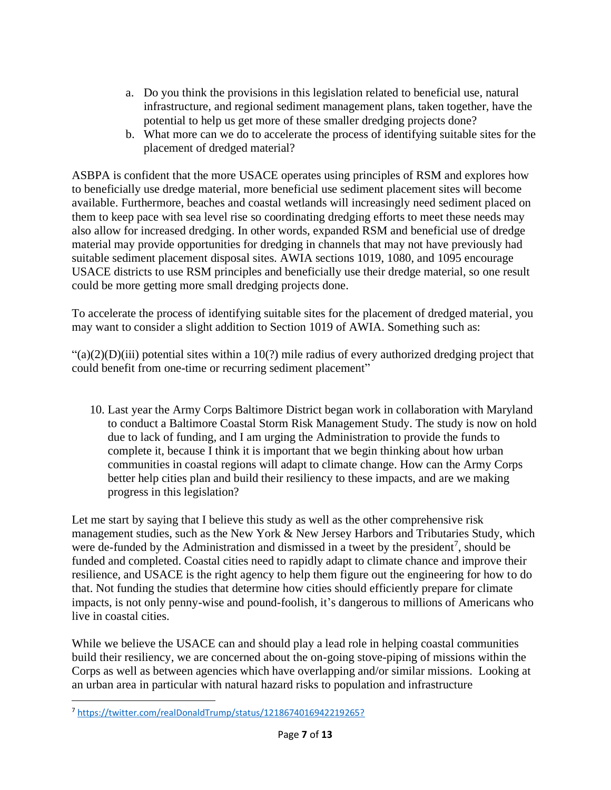- a. Do you think the provisions in this legislation related to beneficial use, natural infrastructure, and regional sediment management plans, taken together, have the potential to help us get more of these smaller dredging projects done?
- b. What more can we do to accelerate the process of identifying suitable sites for the placement of dredged material?

ASBPA is confident that the more USACE operates using principles of RSM and explores how to beneficially use dredge material, more beneficial use sediment placement sites will become available. Furthermore, beaches and coastal wetlands will increasingly need sediment placed on them to keep pace with sea level rise so coordinating dredging efforts to meet these needs may also allow for increased dredging. In other words, expanded RSM and beneficial use of dredge material may provide opportunities for dredging in channels that may not have previously had suitable sediment placement disposal sites. AWIA sections 1019, 1080, and 1095 encourage USACE districts to use RSM principles and beneficially use their dredge material, so one result could be more getting more small dredging projects done.

To accelerate the process of identifying suitable sites for the placement of dredged material, you may want to consider a slight addition to Section 1019 of AWIA. Something such as:

 $\frac{a}{2}(a)(2)(D)(iii)$  potential sites within a 10(?) mile radius of every authorized dredging project that could benefit from one-time or recurring sediment placement"

10. Last year the Army Corps Baltimore District began work in collaboration with Maryland to conduct a Baltimore Coastal Storm Risk Management Study. The study is now on hold due to lack of funding, and I am urging the Administration to provide the funds to complete it, because I think it is important that we begin thinking about how urban communities in coastal regions will adapt to climate change. How can the Army Corps better help cities plan and build their resiliency to these impacts, and are we making progress in this legislation?

Let me start by saying that I believe this study as well as the other comprehensive risk management studies, such as the New York & New Jersey Harbors and Tributaries Study, which were de-funded by the Administration and dismissed in a tweet by the president<sup>7</sup>, should be funded and completed. Coastal cities need to rapidly adapt to climate chance and improve their resilience, and USACE is the right agency to help them figure out the engineering for how to do that. Not funding the studies that determine how cities should efficiently prepare for climate impacts, is not only penny-wise and pound-foolish, it's dangerous to millions of Americans who live in coastal cities.

While we believe the USACE can and should play a lead role in helping coastal communities build their resiliency, we are concerned about the on-going stove-piping of missions within the Corps as well as between agencies which have overlapping and/or similar missions. Looking at an urban area in particular with natural hazard risks to population and infrastructure

<sup>7</sup> <https://twitter.com/realDonaldTrump/status/1218674016942219265?>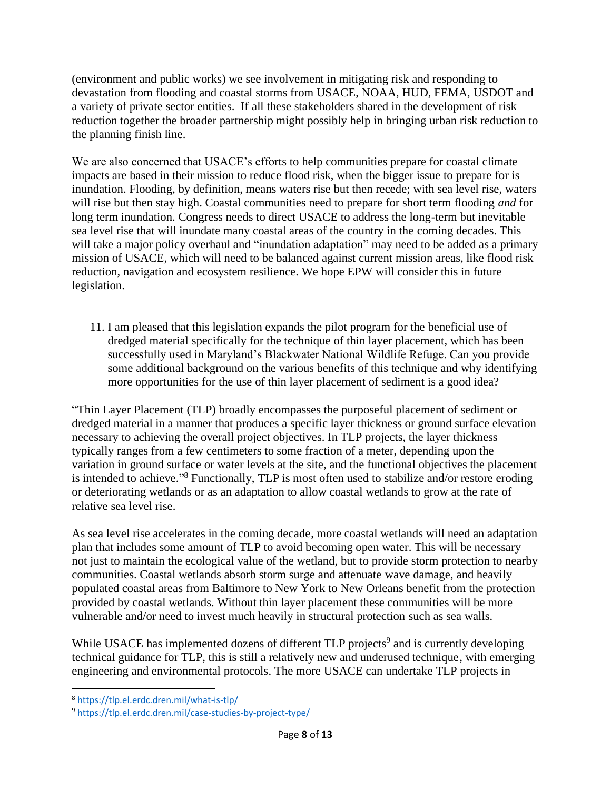(environment and public works) we see involvement in mitigating risk and responding to devastation from flooding and coastal storms from USACE, NOAA, HUD, FEMA, USDOT and a variety of private sector entities. If all these stakeholders shared in the development of risk reduction together the broader partnership might possibly help in bringing urban risk reduction to the planning finish line.

We are also concerned that USACE's efforts to help communities prepare for coastal climate impacts are based in their mission to reduce flood risk, when the bigger issue to prepare for is inundation. Flooding, by definition, means waters rise but then recede; with sea level rise, waters will rise but then stay high. Coastal communities need to prepare for short term flooding *and* for long term inundation. Congress needs to direct USACE to address the long-term but inevitable sea level rise that will inundate many coastal areas of the country in the coming decades. This will take a major policy overhaul and "inundation adaptation" may need to be added as a primary mission of USACE, which will need to be balanced against current mission areas, like flood risk reduction, navigation and ecosystem resilience. We hope EPW will consider this in future legislation.

11. I am pleased that this legislation expands the pilot program for the beneficial use of dredged material specifically for the technique of thin layer placement, which has been successfully used in Maryland's Blackwater National Wildlife Refuge. Can you provide some additional background on the various benefits of this technique and why identifying more opportunities for the use of thin layer placement of sediment is a good idea?

"Thin Layer Placement (TLP) broadly encompasses the purposeful placement of sediment or dredged material in a manner that produces a specific layer thickness or ground surface elevation necessary to achieving the overall project objectives. In TLP projects, the layer thickness typically ranges from a few centimeters to some fraction of a meter, depending upon the variation in ground surface or water levels at the site, and the functional objectives the placement is intended to achieve."<sup>8</sup> Functionally, TLP is most often used to stabilize and/or restore eroding or deteriorating wetlands or as an adaptation to allow coastal wetlands to grow at the rate of relative sea level rise.

As sea level rise accelerates in the coming decade, more coastal wetlands will need an adaptation plan that includes some amount of TLP to avoid becoming open water. This will be necessary not just to maintain the ecological value of the wetland, but to provide storm protection to nearby communities. Coastal wetlands absorb storm surge and attenuate wave damage, and heavily populated coastal areas from Baltimore to New York to New Orleans benefit from the protection provided by coastal wetlands. Without thin layer placement these communities will be more vulnerable and/or need to invest much heavily in structural protection such as sea walls.

While USACE has implemented dozens of different TLP projects<sup>9</sup> and is currently developing technical guidance for TLP, this is still a relatively new and underused technique, with emerging engineering and environmental protocols. The more USACE can undertake TLP projects in

<sup>8</sup> <https://tlp.el.erdc.dren.mil/what-is-tlp/>

<sup>9</sup> <https://tlp.el.erdc.dren.mil/case-studies-by-project-type/>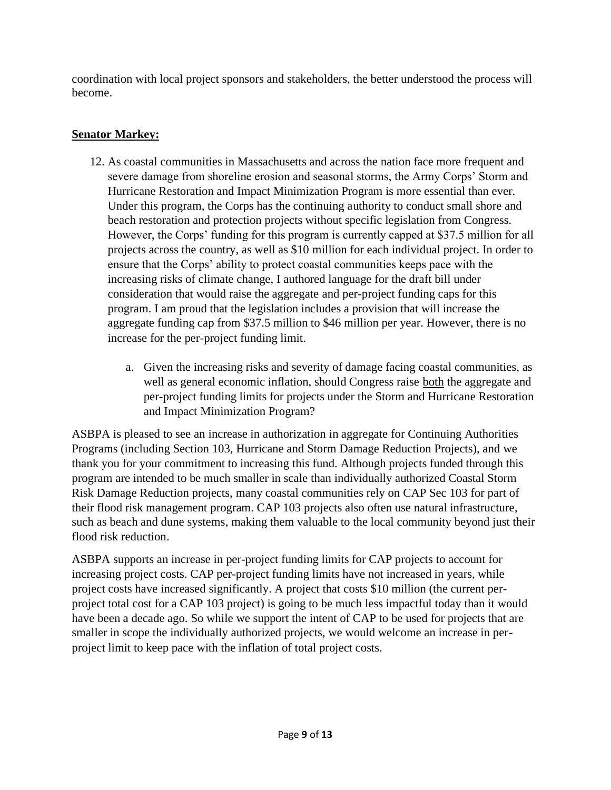coordination with local project sponsors and stakeholders, the better understood the process will become.

# **Senator Markey:**

- 12. As coastal communities in Massachusetts and across the nation face more frequent and severe damage from shoreline erosion and seasonal storms, the Army Corps' Storm and Hurricane Restoration and Impact Minimization Program is more essential than ever. Under this program, the Corps has the continuing authority to conduct small shore and beach restoration and protection projects without specific legislation from Congress. However, the Corps' funding for this program is currently capped at \$37.5 million for all projects across the country, as well as \$10 million for each individual project. In order to ensure that the Corps' ability to protect coastal communities keeps pace with the increasing risks of climate change, I authored language for the draft bill under consideration that would raise the aggregate and per-project funding caps for this program. I am proud that the legislation includes a provision that will increase the aggregate funding cap from \$37.5 million to \$46 million per year. However, there is no increase for the per-project funding limit.
	- a. Given the increasing risks and severity of damage facing coastal communities, as well as general economic inflation, should Congress raise both the aggregate and per-project funding limits for projects under the Storm and Hurricane Restoration and Impact Minimization Program?

ASBPA is pleased to see an increase in authorization in aggregate for Continuing Authorities Programs (including Section 103, Hurricane and Storm Damage Reduction Projects), and we thank you for your commitment to increasing this fund. Although projects funded through this program are intended to be much smaller in scale than individually authorized Coastal Storm Risk Damage Reduction projects, many coastal communities rely on CAP Sec 103 for part of their flood risk management program. CAP 103 projects also often use natural infrastructure, such as beach and dune systems, making them valuable to the local community beyond just their flood risk reduction.

ASBPA supports an increase in per-project funding limits for CAP projects to account for increasing project costs. CAP per-project funding limits have not increased in years, while project costs have increased significantly. A project that costs \$10 million (the current perproject total cost for a CAP 103 project) is going to be much less impactful today than it would have been a decade ago. So while we support the intent of CAP to be used for projects that are smaller in scope the individually authorized projects, we would welcome an increase in perproject limit to keep pace with the inflation of total project costs.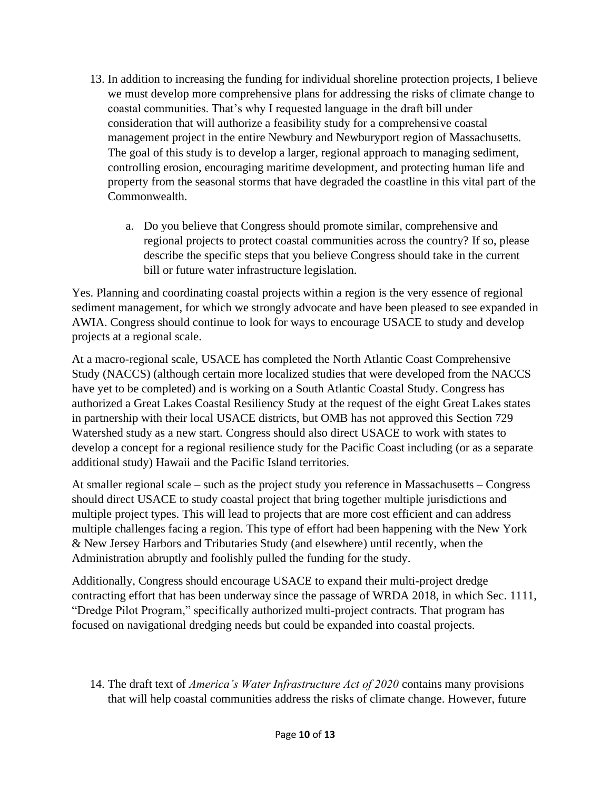- 13. In addition to increasing the funding for individual shoreline protection projects, I believe we must develop more comprehensive plans for addressing the risks of climate change to coastal communities. That's why I requested language in the draft bill under consideration that will authorize a feasibility study for a comprehensive coastal management project in the entire Newbury and Newburyport region of Massachusetts. The goal of this study is to develop a larger, regional approach to managing sediment, controlling erosion, encouraging maritime development, and protecting human life and property from the seasonal storms that have degraded the coastline in this vital part of the Commonwealth.
	- a. Do you believe that Congress should promote similar, comprehensive and regional projects to protect coastal communities across the country? If so, please describe the specific steps that you believe Congress should take in the current bill or future water infrastructure legislation.

Yes. Planning and coordinating coastal projects within a region is the very essence of regional sediment management, for which we strongly advocate and have been pleased to see expanded in AWIA. Congress should continue to look for ways to encourage USACE to study and develop projects at a regional scale.

At a macro-regional scale, USACE has completed the North Atlantic Coast Comprehensive Study (NACCS) (although certain more localized studies that were developed from the NACCS have yet to be completed) and is working on a South Atlantic Coastal Study. Congress has authorized a Great Lakes Coastal Resiliency Study at the request of the eight Great Lakes states in partnership with their local USACE districts, but OMB has not approved this Section 729 Watershed study as a new start. Congress should also direct USACE to work with states to develop a concept for a regional resilience study for the Pacific Coast including (or as a separate additional study) Hawaii and the Pacific Island territories.

At smaller regional scale – such as the project study you reference in Massachusetts – Congress should direct USACE to study coastal project that bring together multiple jurisdictions and multiple project types. This will lead to projects that are more cost efficient and can address multiple challenges facing a region. This type of effort had been happening with the New York & New Jersey Harbors and Tributaries Study (and elsewhere) until recently, when the Administration abruptly and foolishly pulled the funding for the study.

Additionally, Congress should encourage USACE to expand their multi-project dredge contracting effort that has been underway since the passage of WRDA 2018, in which Sec. 1111, "Dredge Pilot Program," specifically authorized multi-project contracts. That program has focused on navigational dredging needs but could be expanded into coastal projects.

14. The draft text of *America's Water Infrastructure Act of 2020* contains many provisions that will help coastal communities address the risks of climate change. However, future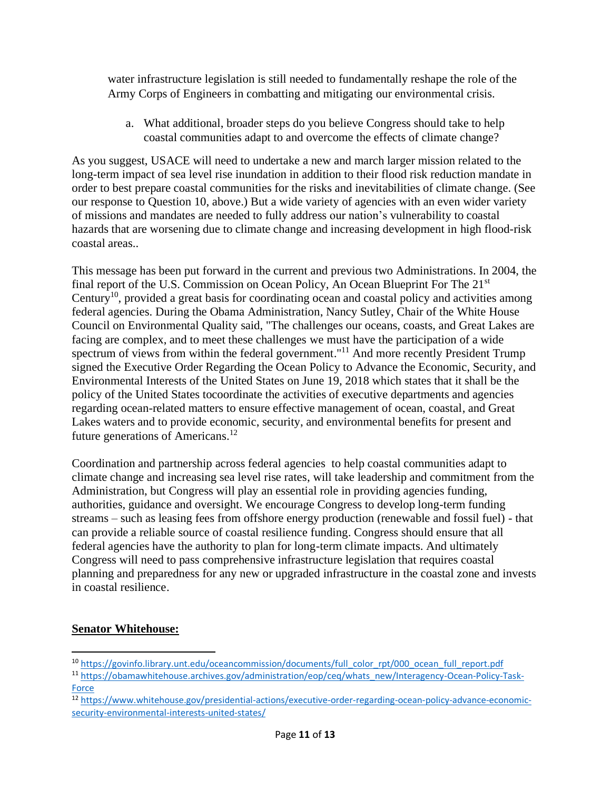water infrastructure legislation is still needed to fundamentally reshape the role of the Army Corps of Engineers in combatting and mitigating our environmental crisis.

a. What additional, broader steps do you believe Congress should take to help coastal communities adapt to and overcome the effects of climate change?

As you suggest, USACE will need to undertake a new and march larger mission related to the long-term impact of sea level rise inundation in addition to their flood risk reduction mandate in order to best prepare coastal communities for the risks and inevitabilities of climate change. (See our response to Question 10, above.) But a wide variety of agencies with an even wider variety of missions and mandates are needed to fully address our nation's vulnerability to coastal hazards that are worsening due to climate change and increasing development in high flood-risk coastal areas..

This message has been put forward in the current and previous two Administrations. In 2004, the final report of the U.S. Commission on Ocean Policy, An Ocean Blueprint For The 21st Century<sup>10</sup>, provided a great basis for coordinating ocean and coastal policy and activities among federal agencies. During the Obama Administration, Nancy Sutley, Chair of the White House Council on Environmental Quality said, "The challenges our oceans, coasts, and Great Lakes are facing are complex, and to meet these challenges we must have the participation of a wide spectrum of views from within the federal government."<sup>11</sup> And more recently President Trump signed the Executive Order Regarding the Ocean Policy to Advance the Economic, Security, and Environmental Interests of the United States on June 19, 2018 which states that it shall be the policy of the United States tocoordinate the activities of executive departments and agencies regarding ocean-related matters to ensure effective management of ocean, coastal, and Great Lakes waters and to provide economic, security, and environmental benefits for present and future generations of Americans.<sup>12</sup>

Coordination and partnership across federal agencies to help coastal communities adapt to climate change and increasing sea level rise rates, will take leadership and commitment from the Administration, but Congress will play an essential role in providing agencies funding, authorities, guidance and oversight. We encourage Congress to develop long-term funding streams – such as leasing fees from offshore energy production (renewable and fossil fuel) - that can provide a reliable source of coastal resilience funding. Congress should ensure that all federal agencies have the authority to plan for long-term climate impacts. And ultimately Congress will need to pass comprehensive infrastructure legislation that requires coastal planning and preparedness for any new or upgraded infrastructure in the coastal zone and invests in coastal resilience.

## **Senator Whitehouse:**

- <sup>10</sup> [https://govinfo.library.unt.edu/oceancommission/documents/full\\_color\\_rpt/000\\_ocean\\_full\\_report.pdf](https://govinfo.library.unt.edu/oceancommission/documents/full_color_rpt/000_ocean_full_report.pdf)
- 11 [https://obamawhitehouse.archives.gov/administration/eop/ceq/whats\\_new/Interagency-Ocean-Policy-Task-](https://obamawhitehouse.archives.gov/administration/eop/ceq/whats_new/Interagency-Ocean-Policy-Task-Force)**[Force](https://obamawhitehouse.archives.gov/administration/eop/ceq/whats_new/Interagency-Ocean-Policy-Task-Force)**
- <sup>12</sup> [https://www.whitehouse.gov/presidential-actions/executive-order-regarding-ocean-policy-advance-economic](https://www.whitehouse.gov/presidential-actions/executive-order-regarding-ocean-policy-advance-economic-security-environmental-interests-united-states/)[security-environmental-interests-united-states/](https://www.whitehouse.gov/presidential-actions/executive-order-regarding-ocean-policy-advance-economic-security-environmental-interests-united-states/)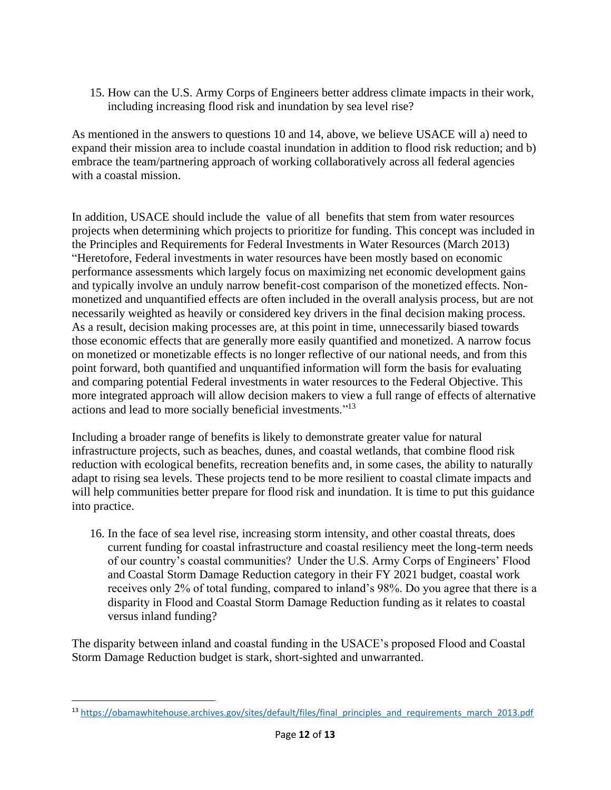15. How can the U.S. Army Corps of Engineers better address climate impacts in their work, including increasing flood risk and inundation by sea level rise?

As mentioned in the answers to questions 10 and 14, above, we believe USACE will a) need to expand their mission area to include coastal inundation in addition to flood risk reduction; and b) embrace the team/partnering approach of working collaboratively across all federal agencies with a coastal mission.

In addition, USACE should include the value of all benefits that stem from water resources projects when determining which projects to prioritize for funding. This concept was included in the Principles and Requirements for Federal Investments in Water Resources (March 2013) "Heretofore, Federal investments in water resources have been mostly based on economic performance assessments which largely focus on maximizing net economic development gains and typically involve an unduly narrow benefit-cost comparison of the monetized effects. Nonmonetized and unquantified effects are often included in the overall analysis process, but are not necessarily weighted as heavily or considered key drivers in the final decision making process. As a result, decision making processes are, at this point in time, unnecessarily biased towards those economic effects that are generally more easily quantified and monetized. A narrow focus on monetized or monetizable effects is no longer reflective of our national needs, and from this point forward, both quantified and unquantified information will form the basis for evaluating and comparing potential Federal investments in water resources to the Federal Objective. This more integrated approach will allow decision makers to view a full range of effects of alternative actions and lead to more socially beneficial investments." 13

Including a broader range of benefits is likely to demonstrate greater value for natural infrastructure projects, such as beaches, dunes, and coastal wetlands, that combine flood risk reduction with ecological benefits, recreation benefits and, in some cases, the ability to naturally adapt to rising sea levels. These projects tend to be more resilient to coastal climate impacts and will help communities better prepare for flood risk and inundation. It is time to put this guidance into practice.

16. In the face of sea level rise, increasing storm intensity, and other coastal threats, does current funding for coastal infrastructure and coastal resiliency meet the long-term needs of our country's coastal communities? Under the U.S. Army Corps of Engineers' Flood and Coastal Storm Damage Reduction category in their FY 2021 budget, coastal work receives only 2% of total funding, compared to inland's 98%. Do you agree that there is a disparity in Flood and Coastal Storm Damage Reduction funding as it relates to coastal versus inland funding?

The disparity between inland and coastal funding in the USACE's proposed Flood and Coastal Storm Damage Reduction budget is stark, short-sighted and unwarranted.

<sup>&</sup>lt;sup>13</sup> [https://obamawhitehouse.archives.gov/sites/default/files/final\\_principles\\_and\\_requirements\\_march\\_2013.pdf](https://obamawhitehouse.archives.gov/sites/default/files/final_principles_and_requirements_march_2013.pdf)